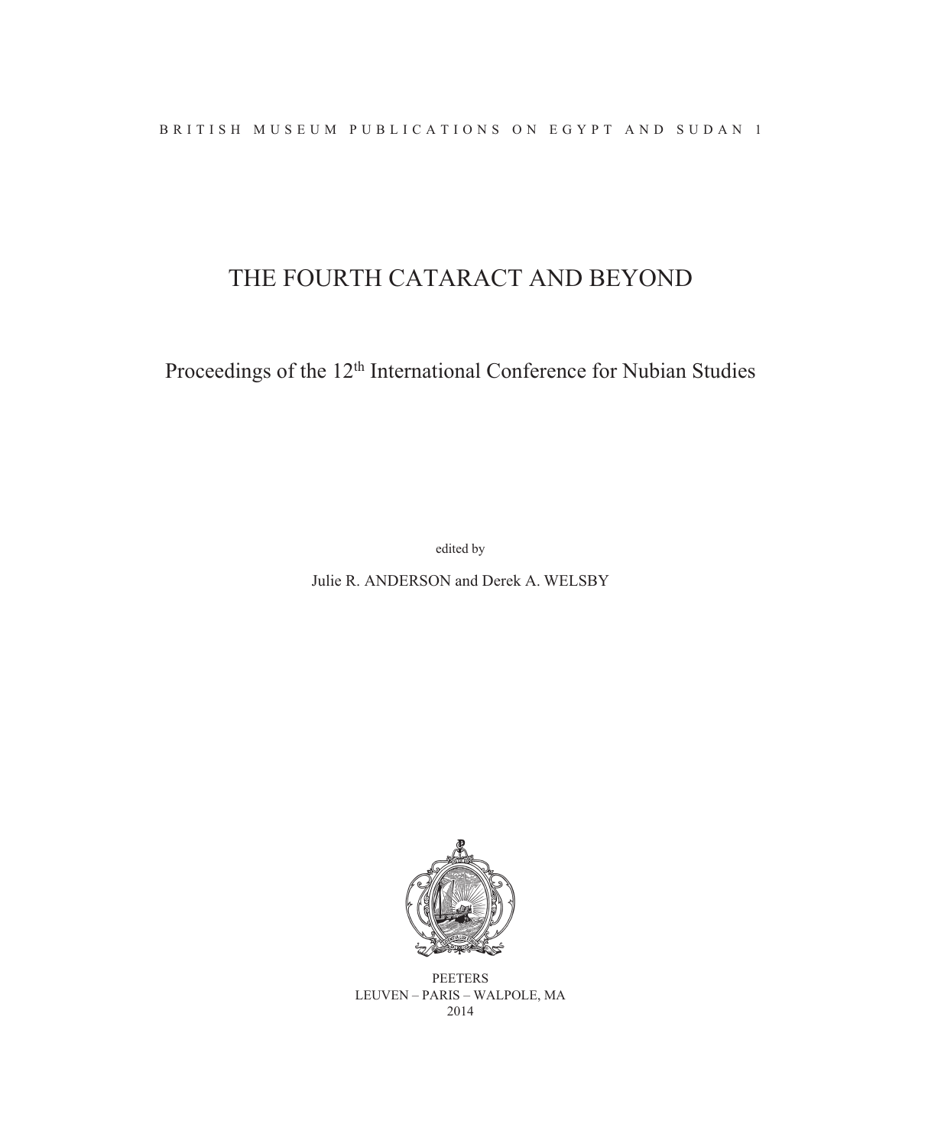# THE FOURTH CATARACT AND BEYOND

Proceedings of the 12<sup>th</sup> International Conference for Nubian Studies

edited by

Julie R. ANDERSON and Derek A. WELSBY



**PEETERS** LEUVEN – PARIS – WALPOLE, MA 2014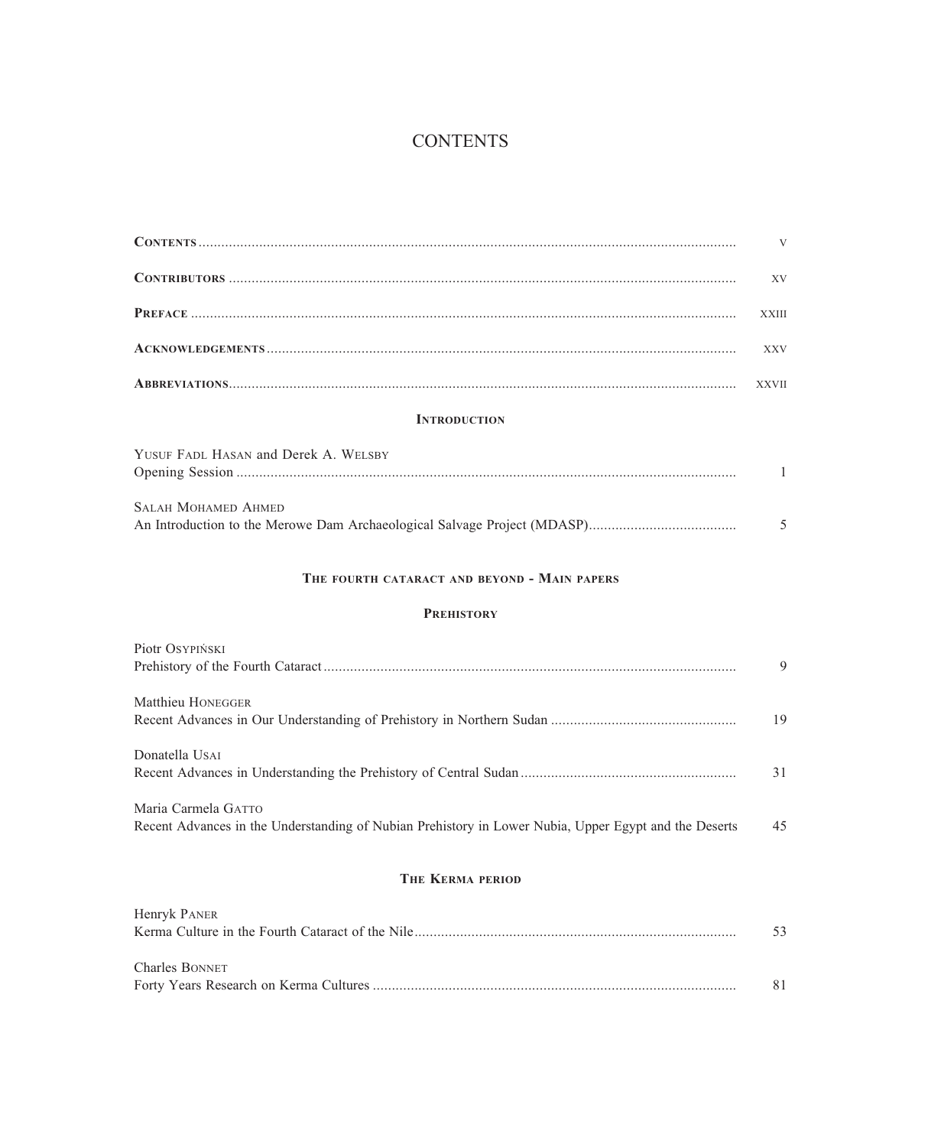## **CONTENTS**

|                                                                                                                              | V            |
|------------------------------------------------------------------------------------------------------------------------------|--------------|
|                                                                                                                              | XV           |
|                                                                                                                              | <b>XXIII</b> |
|                                                                                                                              | <b>XXV</b>   |
|                                                                                                                              | <b>XXVII</b> |
| <b>INTRODUCTION</b>                                                                                                          |              |
| YUSUF FADL HASAN and Derek A. WELSBY                                                                                         | 1            |
| <b>SALAH MOHAMED AHMED</b>                                                                                                   | 5            |
| THE FOURTH CATARACT AND BEYOND - MAIN PAPERS                                                                                 |              |
| <b>PREHISTORY</b>                                                                                                            |              |
| Piotr OSYPIŃSKI                                                                                                              | 9            |
| Matthieu HONEGGER                                                                                                            | 19           |
| Donatella USAI                                                                                                               | 31           |
| Maria Carmela GATTO<br>Recent Advances in the Understanding of Nubian Prehistory in Lower Nubia, Upper Egypt and the Deserts | 45           |
| THE KERMA PERIOD                                                                                                             |              |
| Henryk PANER                                                                                                                 | 53           |

Forty Years Research on Kerma Cultures ................................................................................................ 81

Charles BONNET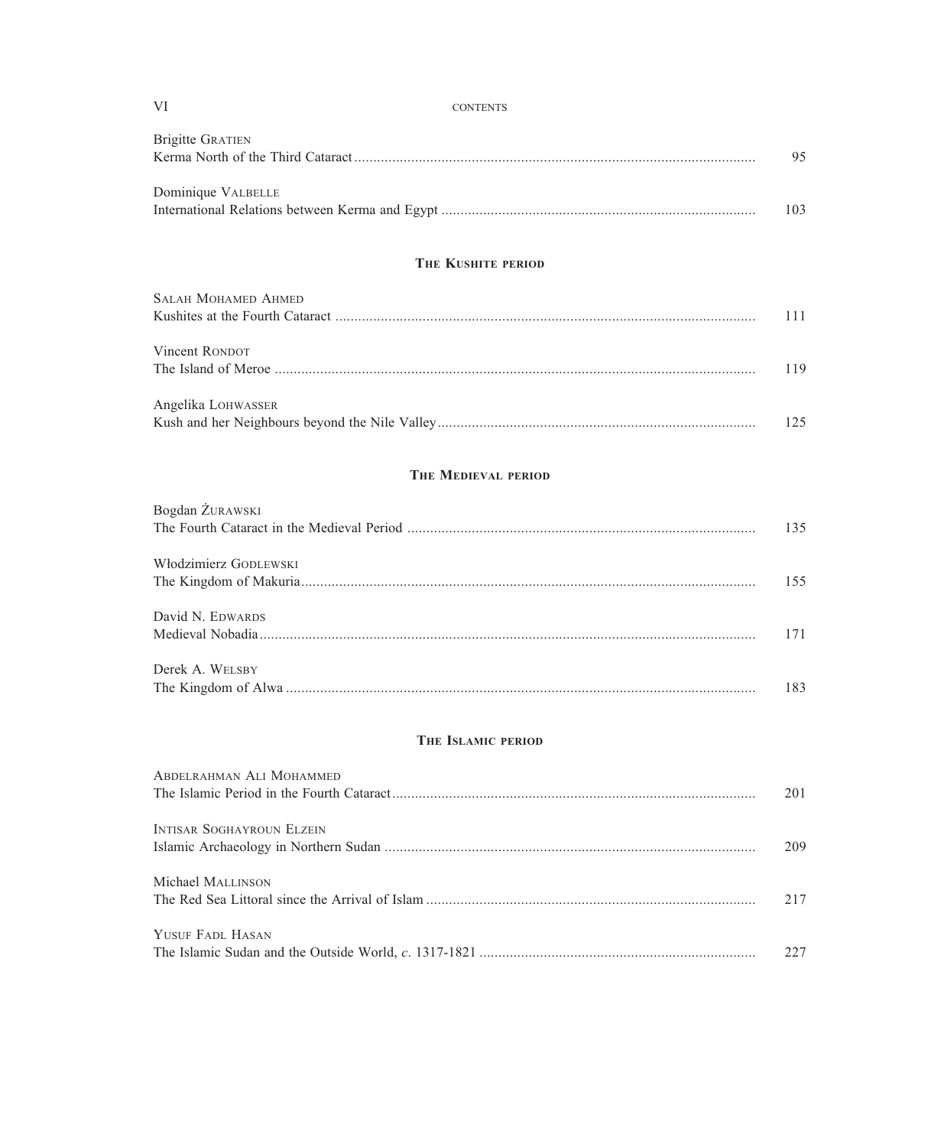| VI                               | <b>CONTENTS</b>            |
|----------------------------------|----------------------------|
| <b>Brigitte GRATIEN</b>          |                            |
| Dominique VALBELLE               |                            |
|                                  | <b>THE KUSHITE PERIOD</b>  |
| <b>SALAH MOHAMED AHMED</b>       |                            |
| Vincent RONDOT                   |                            |
| Angelika LOHWASSER               |                            |
|                                  | <b>THE MEDIEVAL PERIOD</b> |
| Bogdan ŻURAWSKI                  |                            |
| Włodzimierz GODLEWSKI            |                            |
| David N. EDWARDS                 |                            |
| Derek A. WELSBY                  |                            |
|                                  | THE ISLAMIC PERIOD         |
| <b>ABDELRAHMAN ALI MOHAMMED</b>  |                            |
| <b>INTISAR SOGHAYROUN ELZEIN</b> |                            |
| Michael MALLINSON                |                            |
| YUSUF FADL HASAN                 |                            |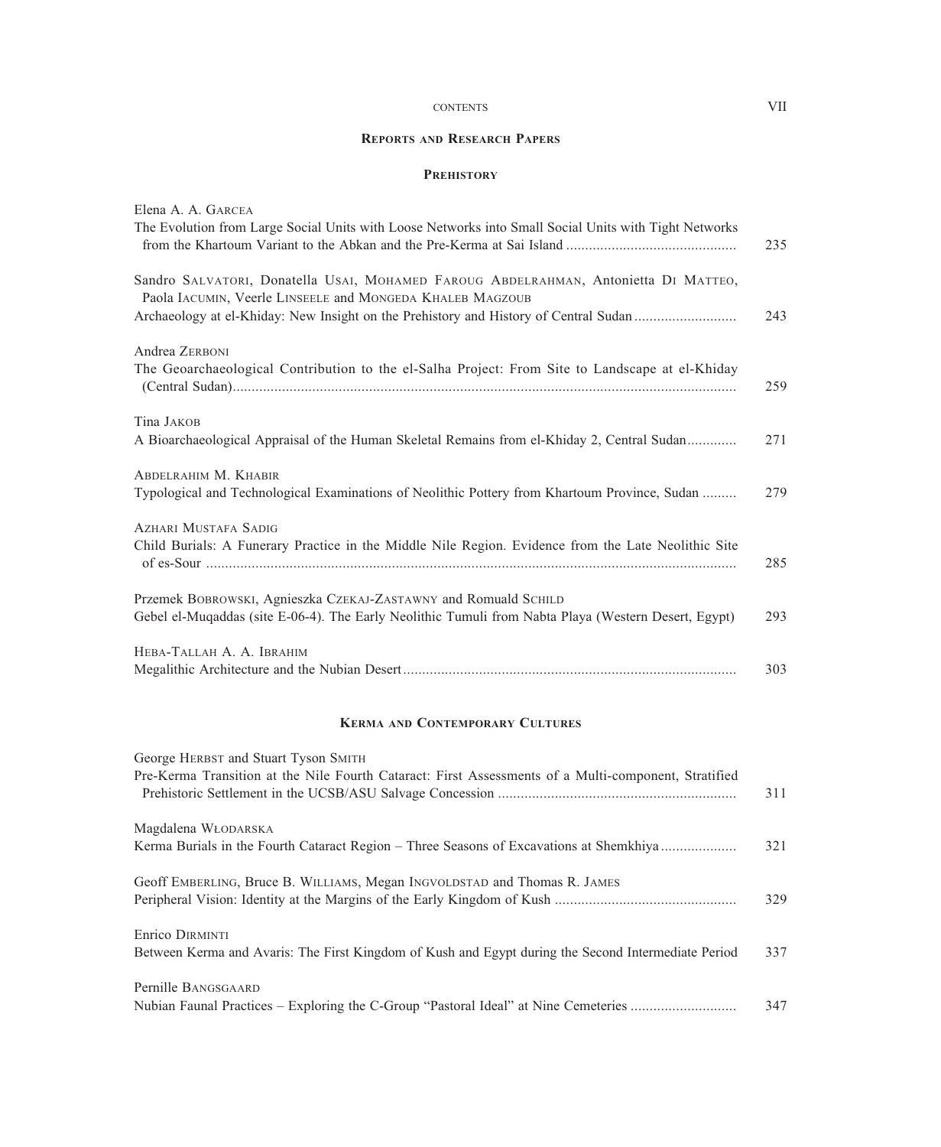#### CONTENTS VII

#### **REPORTS AND RESEARCH PAPERS**

### **PREHISTORY**

| Elena A. A. GARCEA                                                                                                                                                                                                                       |     |
|------------------------------------------------------------------------------------------------------------------------------------------------------------------------------------------------------------------------------------------|-----|
| The Evolution from Large Social Units with Loose Networks into Small Social Units with Tight Networks                                                                                                                                    | 235 |
| Sandro SALVATORI, Donatella USAI, MOHAMED FAROUG ABDELRAHMAN, Antonietta DI MATTEO,<br>Paola IACUMIN, Veerle LINSEELE and MONGEDA KHALEB MAGZOUB<br>Archaeology at el-Khiday: New Insight on the Prehistory and History of Central Sudan | 243 |
| Andrea ZERBONI<br>The Geoarchaeological Contribution to the el-Salha Project: From Site to Landscape at el-Khiday                                                                                                                        | 259 |
| Tina JAKOB<br>A Bioarchaeological Appraisal of the Human Skeletal Remains from el-Khiday 2, Central Sudan                                                                                                                                | 271 |
| ABDELRAHIM M. KHABIR<br>Typological and Technological Examinations of Neolithic Pottery from Khartoum Province, Sudan                                                                                                                    | 279 |
| <b>AZHARI MUSTAFA SADIG</b><br>Child Burials: A Funerary Practice in the Middle Nile Region. Evidence from the Late Neolithic Site                                                                                                       | 285 |
| Przemek BOBROWSKI, Agnieszka CzEKAJ-ZASTAWNY and Romuald SCHILD<br>Gebel el-Muqaddas (site E-06-4). The Early Neolithic Tumuli from Nabta Playa (Western Desert, Egypt)                                                                  | 293 |
| HEBA-TALLAH A. A. IBRAHIM                                                                                                                                                                                                                | 303 |
| <b>KERMA AND CONTEMPORARY CULTURES</b>                                                                                                                                                                                                   |     |
| George HERBST and Stuart Tyson SMITH<br>Pre-Kerma Transition at the Nile Fourth Cataract: First Assessments of a Multi-component, Stratified                                                                                             | 311 |
| Magdalena WŁODARSKA<br>Kerma Burials in the Fourth Cataract Region – Three Seasons of Excavations at Shemkhiya                                                                                                                           | 321 |
| Geoff EMBERLING, Bruce B. WILLIAMS, Megan INGVOLDSTAD and Thomas R. JAMES                                                                                                                                                                | 329 |
| Enrico DIRMINTI<br>Between Kerma and Avaris: The First Kingdom of Kush and Egypt during the Second Intermediate Period                                                                                                                   | 337 |
| Pernille BANGSGAARD<br>Nubian Faunal Practices - Exploring the C-Group "Pastoral Ideal" at Nine Cemeteries                                                                                                                               | 347 |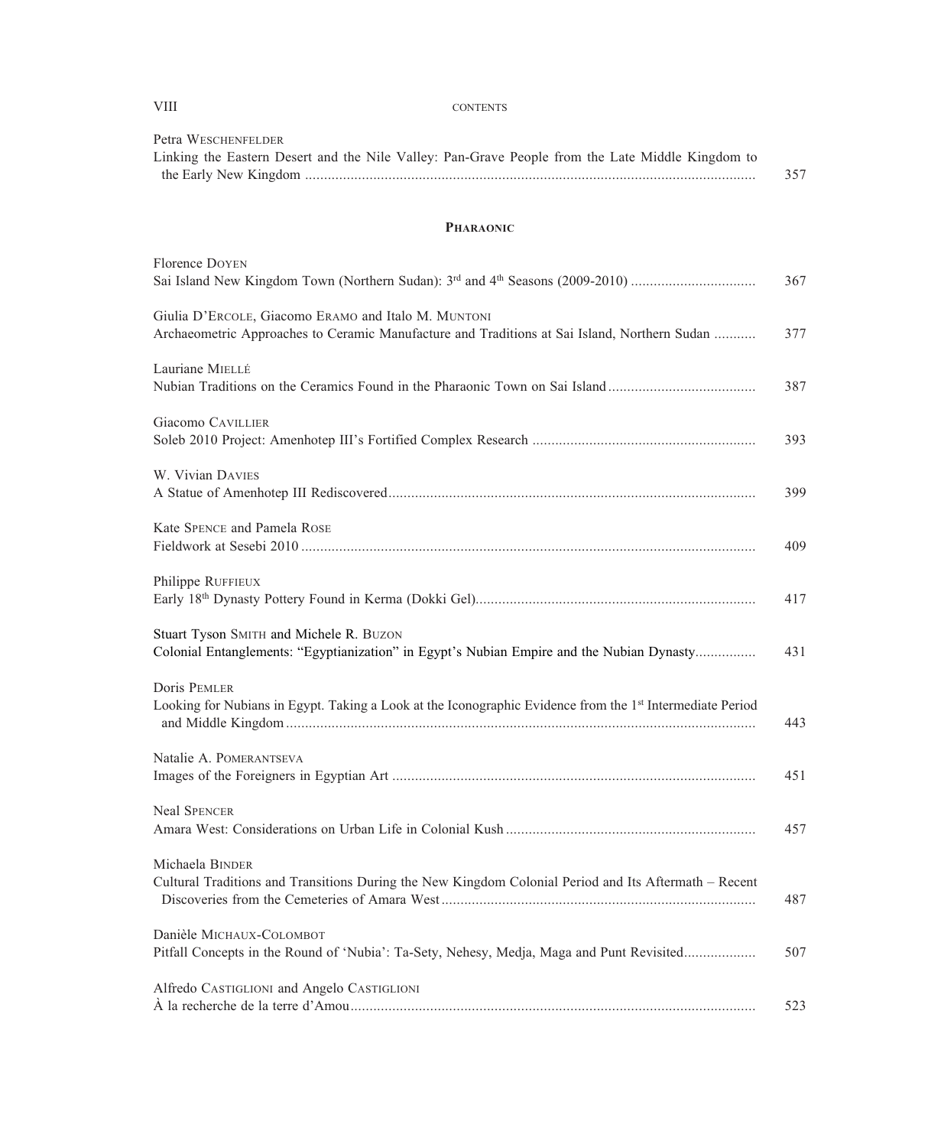| <b>PHARAONIC</b>                                                                                                                                    |     |
|-----------------------------------------------------------------------------------------------------------------------------------------------------|-----|
| Florence DOYEN                                                                                                                                      | 367 |
| Giulia D'ERCOLE, Giacomo ERAMO and Italo M. MUNTONI<br>Archaeometric Approaches to Ceramic Manufacture and Traditions at Sai Island, Northern Sudan | 377 |
| Lauriane MIELLÉ<br>Nubian Traditions on the Ceramics Found in the Pharaonic Town on Sai Island                                                      | 387 |
| Giacomo CAVILLIER                                                                                                                                   | 393 |
| W. Vivian DAVIES                                                                                                                                    | 399 |
| Kate SPENCE and Pamela ROSE                                                                                                                         | 409 |
| Philippe RUFFIEUX                                                                                                                                   | 417 |
| Stuart Tyson SMITH and Michele R. BUZON<br>Colonial Entanglements: "Egyptianization" in Egypt's Nubian Empire and the Nubian Dynasty                | 431 |
| <b>Doris PEMLER</b><br>Looking for Nubians in Egypt. Taking a Look at the Iconographic Evidence from the 1 <sup>st</sup> Intermediate Period        | 443 |
| Natalie A. POMERANTSEVA                                                                                                                             | 451 |
| <b>Neal SPENCER</b>                                                                                                                                 | 457 |
| Michaela BINDER<br>Cultural Traditions and Transitions During the New Kingdom Colonial Period and Its Aftermath – Recent                            | 487 |
| Danièle MICHAUX-COLOMBOT<br>Pitfall Concepts in the Round of 'Nubia': Ta-Sety, Nehesy, Medja, Maga and Punt Revisited                               | 507 |
| Alfredo CASTIGLIONI and Angelo CASTIGLIONI                                                                                                          | 523 |

Linking the Eastern Desert and the Nile Valley: Pan-Grave People from the Late Middle Kingdom to

the Early New Kingdom  ....................................................................................................................... 357

Petra WESCHENFELDER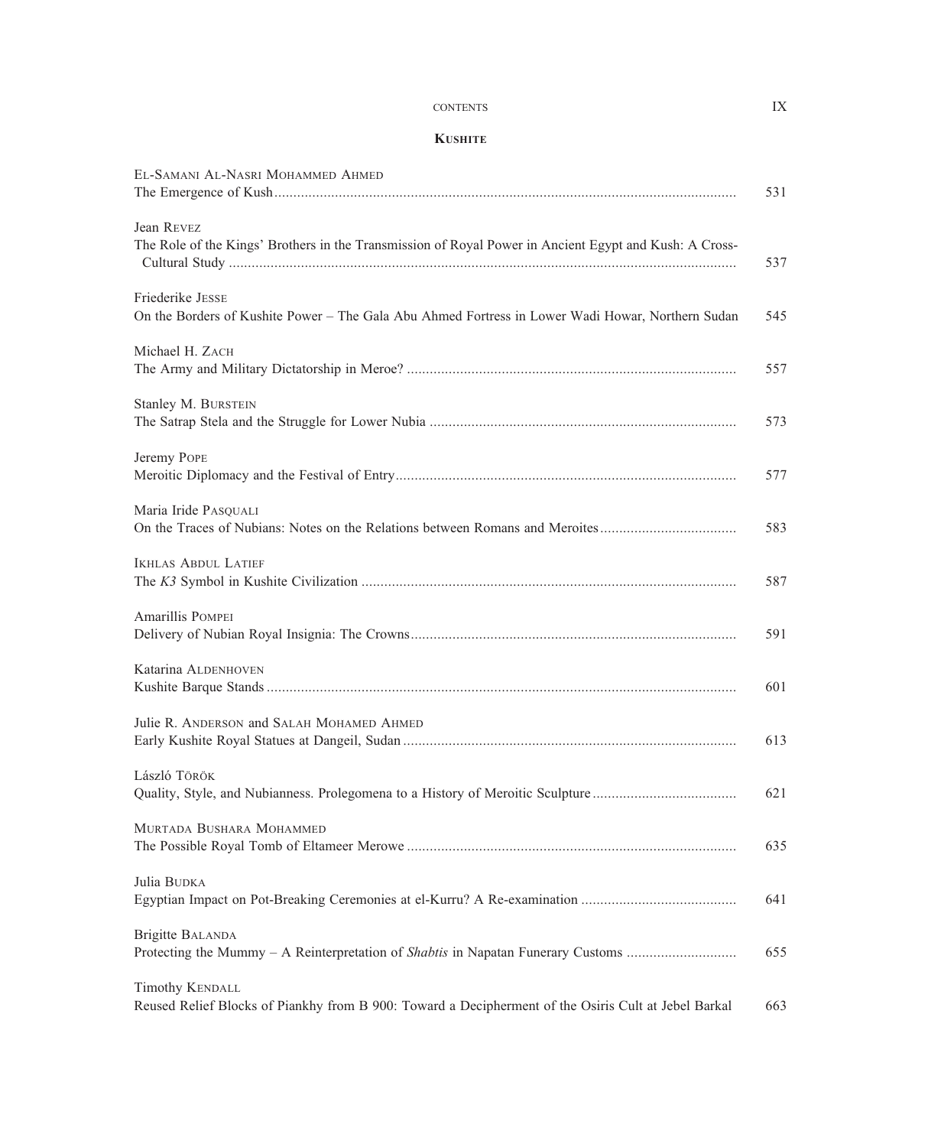#### CONTENTS IX

#### **KUSHITE**

| EL-SAMANI AL-NASRI MOHAMMED AHMED                                                                                              | 531 |
|--------------------------------------------------------------------------------------------------------------------------------|-----|
| Jean REVEZ<br>The Role of the Kings' Brothers in the Transmission of Royal Power in Ancient Egypt and Kush: A Cross-           | 537 |
| Friederike JESSE<br>On the Borders of Kushite Power - The Gala Abu Ahmed Fortress in Lower Wadi Howar, Northern Sudan          | 545 |
| Michael H. ZACH                                                                                                                | 557 |
| Stanley M. BURSTEIN                                                                                                            | 573 |
| Jeremy POPE                                                                                                                    | 577 |
| Maria Iride PASQUALI<br>On the Traces of Nubians: Notes on the Relations between Romans and Meroites                           | 583 |
| <b>IKHLAS ABDUL LATIEF</b>                                                                                                     | 587 |
| Amarillis POMPEI                                                                                                               | 591 |
| Katarina ALDENHOVEN                                                                                                            | 601 |
| Julie R. ANDERSON and SALAH MOHAMED AHMED                                                                                      | 613 |
| László Török<br>Quality, Style, and Nubianness. Prolegomena to a History of Meroitic Sculpture                                 | 621 |
| MURTADA BUSHARA MOHAMMED                                                                                                       | 635 |
| Julia BUDKA                                                                                                                    | 641 |
| <b>Brigitte BALANDA</b><br>Protecting the Mummy – A Reinterpretation of Shabtis in Napatan Funerary Customs                    | 655 |
| <b>Timothy KENDALL</b><br>Reused Relief Blocks of Piankhy from B 900: Toward a Decipherment of the Osiris Cult at Jebel Barkal | 663 |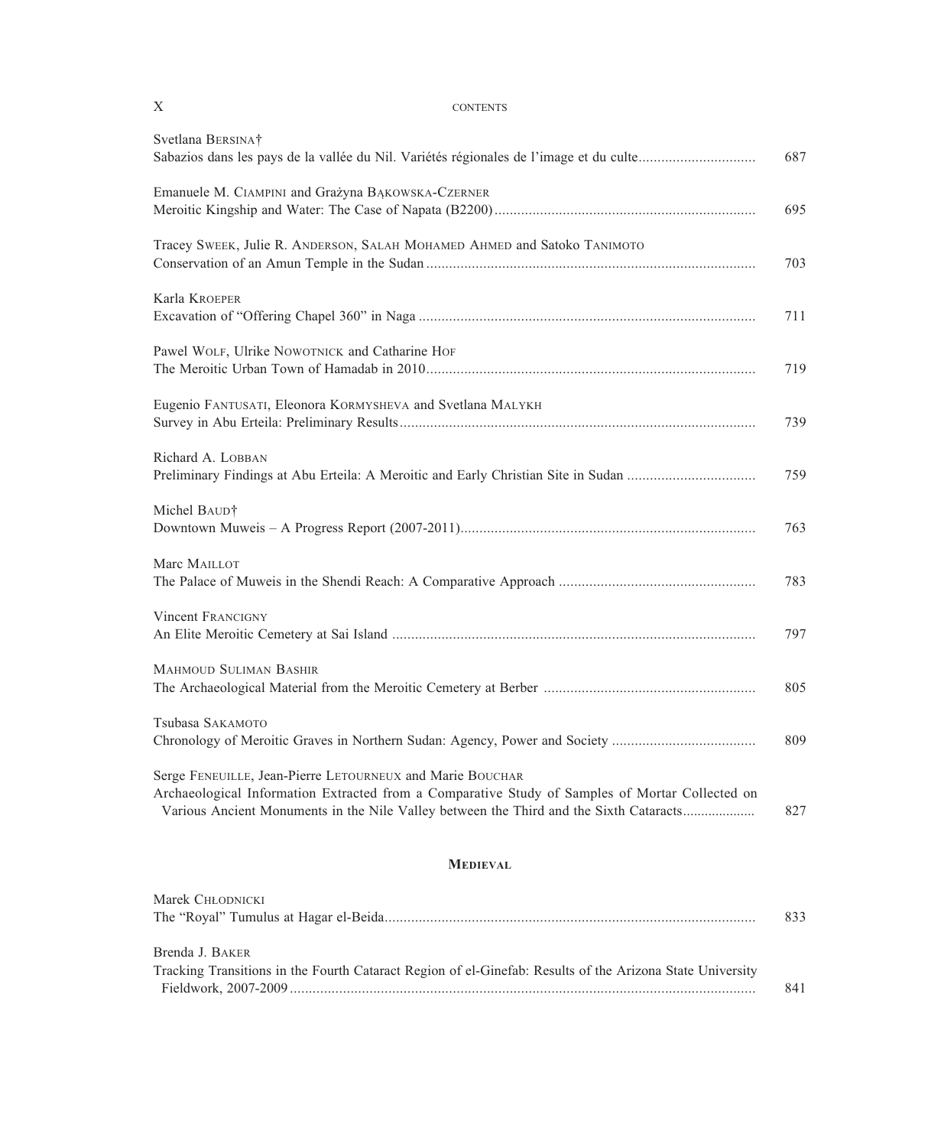| Svetlana BERSINAT<br>Sabazios dans les pays de la vallée du Nil. Variétés régionales de l'image et du culte                                                                                                                                            | 687 |
|--------------------------------------------------------------------------------------------------------------------------------------------------------------------------------------------------------------------------------------------------------|-----|
| Emanuele M. CIAMPINI and Grażyna BAKOWSKA-CZERNER                                                                                                                                                                                                      | 695 |
| Tracey SWEEK, Julie R. ANDERSON, SALAH MOHAMED AHMED and Satoko TANIMOTO                                                                                                                                                                               | 703 |
| Karla KROEPER                                                                                                                                                                                                                                          | 711 |
| Pawel WOLF, Ulrike NOWOTNICK and Catharine HOF                                                                                                                                                                                                         | 719 |
| Eugenio FANTUSATI, Eleonora KORMYSHEVA and Svetlana MALYKH                                                                                                                                                                                             | 739 |
| Richard A. LOBBAN<br>Preliminary Findings at Abu Erteila: A Meroitic and Early Christian Site in Sudan                                                                                                                                                 | 759 |
| Michel BAUD†                                                                                                                                                                                                                                           | 763 |
| Marc MAILLOT                                                                                                                                                                                                                                           | 783 |
| <b>Vincent FRANCIGNY</b>                                                                                                                                                                                                                               | 797 |
| <b>MAHMOUD SULIMAN BASHIR</b>                                                                                                                                                                                                                          | 805 |
| Tsubasa SAKAMOTO<br>Chronology of Meroitic Graves in Northern Sudan: Agency, Power and Society                                                                                                                                                         | 809 |
| Serge FENEUILLE, Jean-Pierre LETOURNEUX and Marie BOUCHAR<br>Archaeological Information Extracted from a Comparative Study of Samples of Mortar Collected on<br>Various Ancient Monuments in the Nile Valley between the Third and the Sixth Cataracts | 827 |
| <b>MEDIEVAL</b>                                                                                                                                                                                                                                        |     |
| Marek CHŁODNICKI                                                                                                                                                                                                                                       | 833 |

| Brenda J. BAKER                                                                                           |     |
|-----------------------------------------------------------------------------------------------------------|-----|
| Tracking Transitions in the Fourth Cataract Region of el-Ginefab: Results of the Arizona State University |     |
|                                                                                                           | 841 |

## X CONTENTS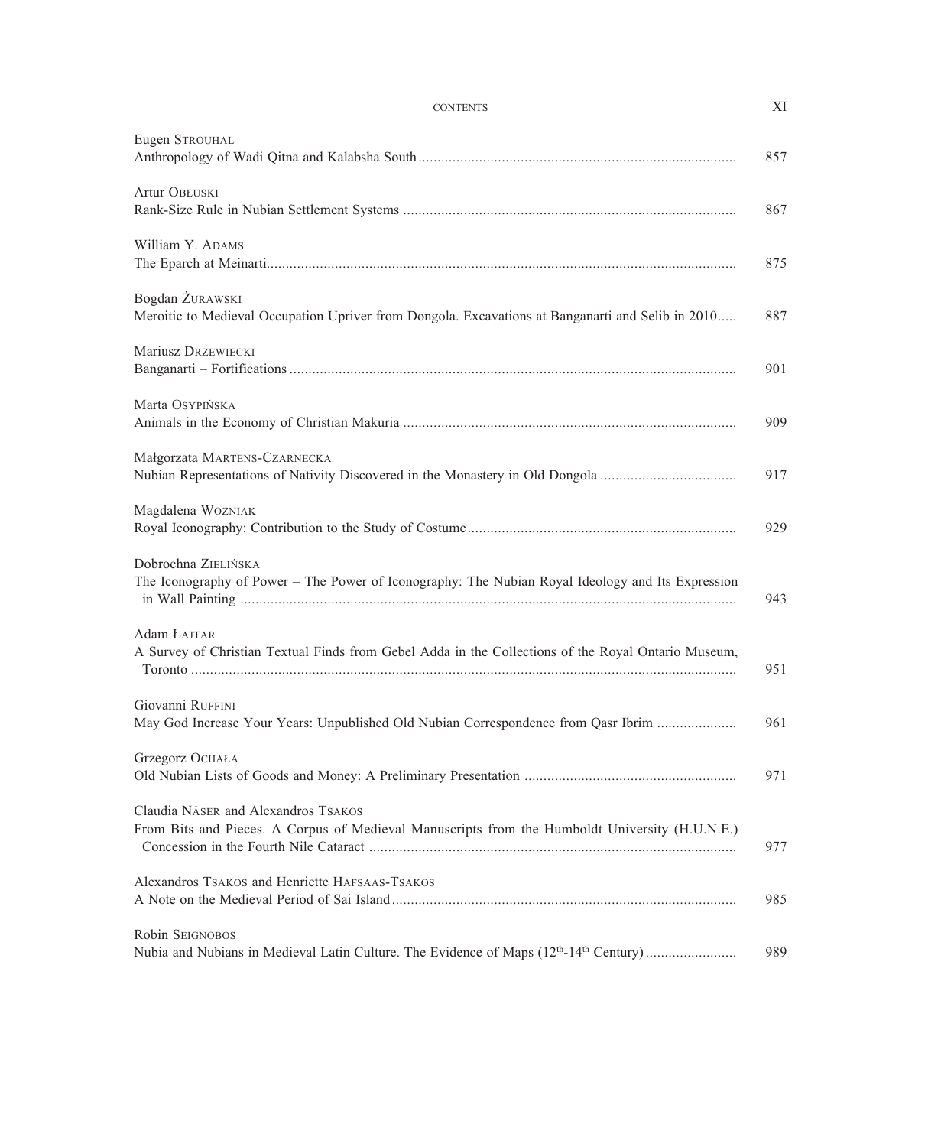#### CONTENTS XI

| Eugen STROUHAL                                                                                                                        | 857 |
|---------------------------------------------------------------------------------------------------------------------------------------|-----|
| Artur OBŁUSKI                                                                                                                         | 867 |
| William Y. ADAMS                                                                                                                      | 875 |
| Bogdan ŻURAWSKI<br>Meroitic to Medieval Occupation Upriver from Dongola. Excavations at Banganarti and Selib in 2010                  | 887 |
| Mariusz DRZEWIECKI                                                                                                                    | 901 |
| Marta OSYPIŃSKA                                                                                                                       | 909 |
| Małgorzata MARTENS-CZARNECKA<br>Nubian Representations of Nativity Discovered in the Monastery in Old Dongola                         | 917 |
| Magdalena WOZNIAK                                                                                                                     | 929 |
| Dobrochna ZIELIŃSKA<br>The Iconography of Power – The Power of Iconography: The Nubian Royal Ideology and Its Expression              | 943 |
| Adam ŁAJTAR<br>A Survey of Christian Textual Finds from Gebel Adda in the Collections of the Royal Ontario Museum,                    | 951 |
| Giovanni RUFFINI<br>May God Increase Your Years: Unpublished Old Nubian Correspondence from Qasr Ibrim                                | 961 |
| Grzegorz OCHAŁA                                                                                                                       | 971 |
| Claudia NÄSER and Alexandros TSAKOS<br>From Bits and Pieces. A Corpus of Medieval Manuscripts from the Humboldt University (H.U.N.E.) | 977 |
| Alexandros TSAKOS and Henriette HAFSAAS-TSAKOS                                                                                        | 985 |
| Robin SEIGNOBOS<br>Nubia and Nubians in Medieval Latin Culture. The Evidence of Maps (12 <sup>th</sup> -14 <sup>th</sup> Century)     | 989 |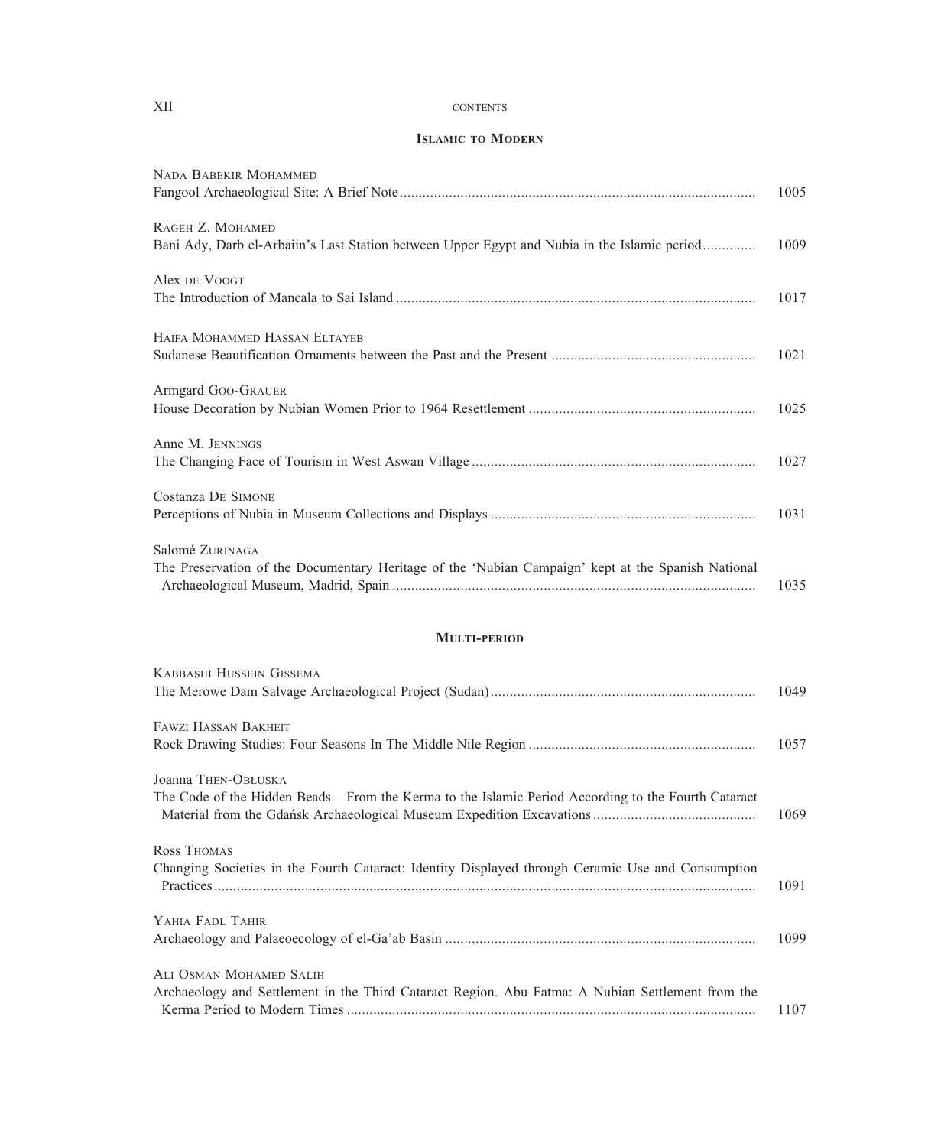### XII CONTENTS

#### **ISLAMIC TO MODERN**

| NADA BABEKIR MOHAMMED                                                                                                       | 1005 |
|-----------------------------------------------------------------------------------------------------------------------------|------|
| RAGEH Z. MOHAMED<br>Bani Ady, Darb el-Arbaiin's Last Station between Upper Egypt and Nubia in the Islamic period            | 1009 |
| Alex DE VOOGT                                                                                                               | 1017 |
| HAIFA MOHAMMED HASSAN ELTAYEB                                                                                               | 1021 |
| Armgard GOO-GRAUER                                                                                                          | 1025 |
| Anne M. JENNINGS                                                                                                            | 1027 |
| <b>Costanza DE SIMONE</b>                                                                                                   | 1031 |
| Salomé ZURINAGA<br>The Preservation of the Documentary Heritage of the 'Nubian Campaign' kept at the Spanish National       | 1035 |
| <b>MULTI-PERIOD</b>                                                                                                         |      |
| KABBASHI HUSSEIN GISSEMA                                                                                                    | 1049 |
| <b>FAWZI HASSAN BAKHEIT</b>                                                                                                 | 1057 |
| Joanna THEN-OBŁUSKA<br>The Code of the Hidden Beads – From the Kerma to the Islamic Period According to the Fourth Cataract | 1069 |
| Ross Thomas<br>Changing Societies in the Fourth Cataract: Identity Displayed through Ceramic Use and Consumption            | 1091 |
| YAHIA FADL TAHIR                                                                                                            | 1099 |
| ALI OSMAN MOHAMED SALIH<br>Archaeology and Settlement in the Third Cataract Region. Abu Fatma: A Nubian Settlement from the | 1107 |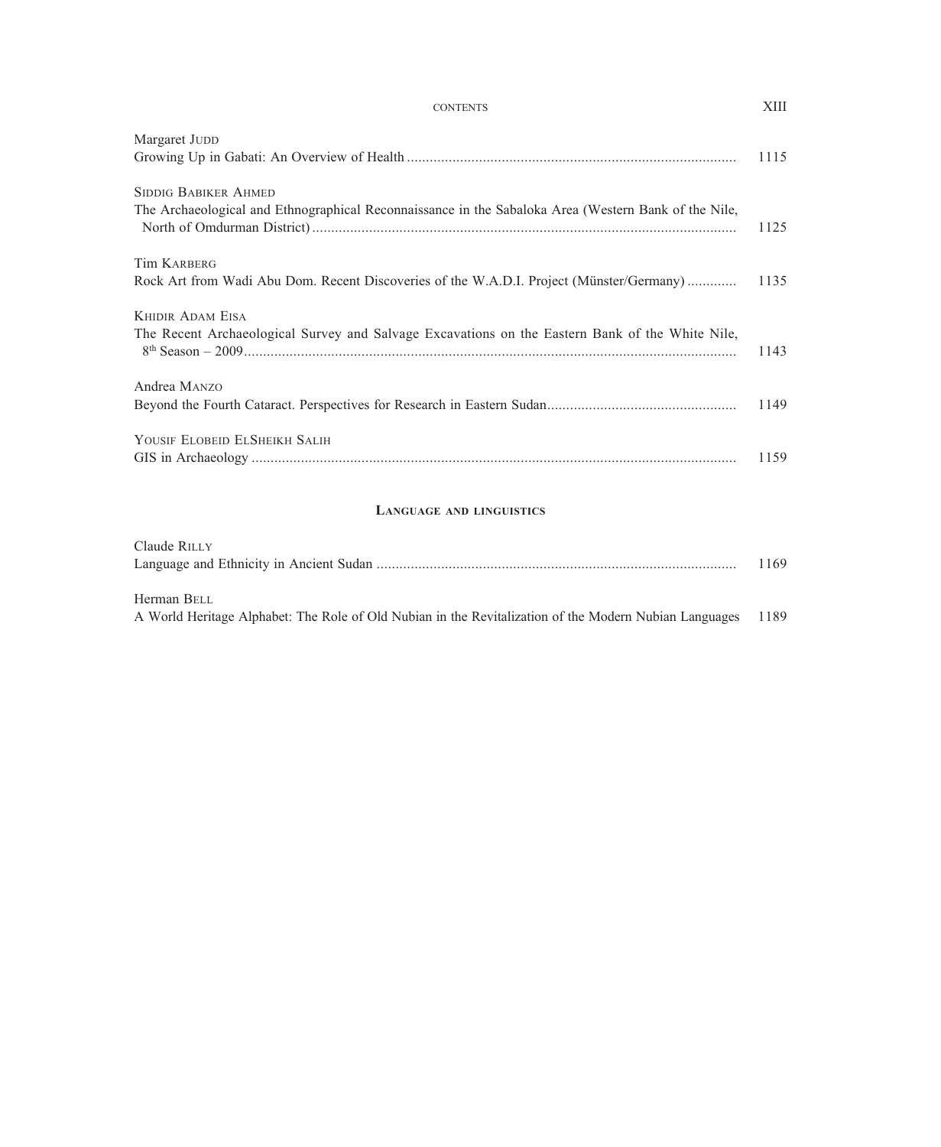#### CONTENTS XIII

| Margaret JUDD                                                                                                                       | 1115 |
|-------------------------------------------------------------------------------------------------------------------------------------|------|
| <b>SIDDIG BABIKER AHMED</b><br>The Archaeological and Ethnographical Reconnaissance in the Sabaloka Area (Western Bank of the Nile, | 1125 |
| <b>Tim KARBERG</b>                                                                                                                  |      |
| Rock Art from Wadi Abu Dom. Recent Discoveries of the W.A.D.I. Project (Münster/Germany)                                            | 1135 |
| <b>KHIDIR ADAM EISA</b>                                                                                                             |      |
| The Recent Archaeological Survey and Salvage Excavations on the Eastern Bank of the White Nile,                                     | 1143 |
| Andrea MANZO                                                                                                                        |      |
|                                                                                                                                     | 1149 |
| YOUSIF ELOBEID ELSHEIKH SALIH                                                                                                       |      |
|                                                                                                                                     | 1159 |

#### LANGUAGE AND LINGUISTICS

| Claude RILLY                                                                                                |  |
|-------------------------------------------------------------------------------------------------------------|--|
| Herman BELL                                                                                                 |  |
| A World Heritage Alphabet: The Role of Old Nubian in the Revitalization of the Modern Nubian Languages 1189 |  |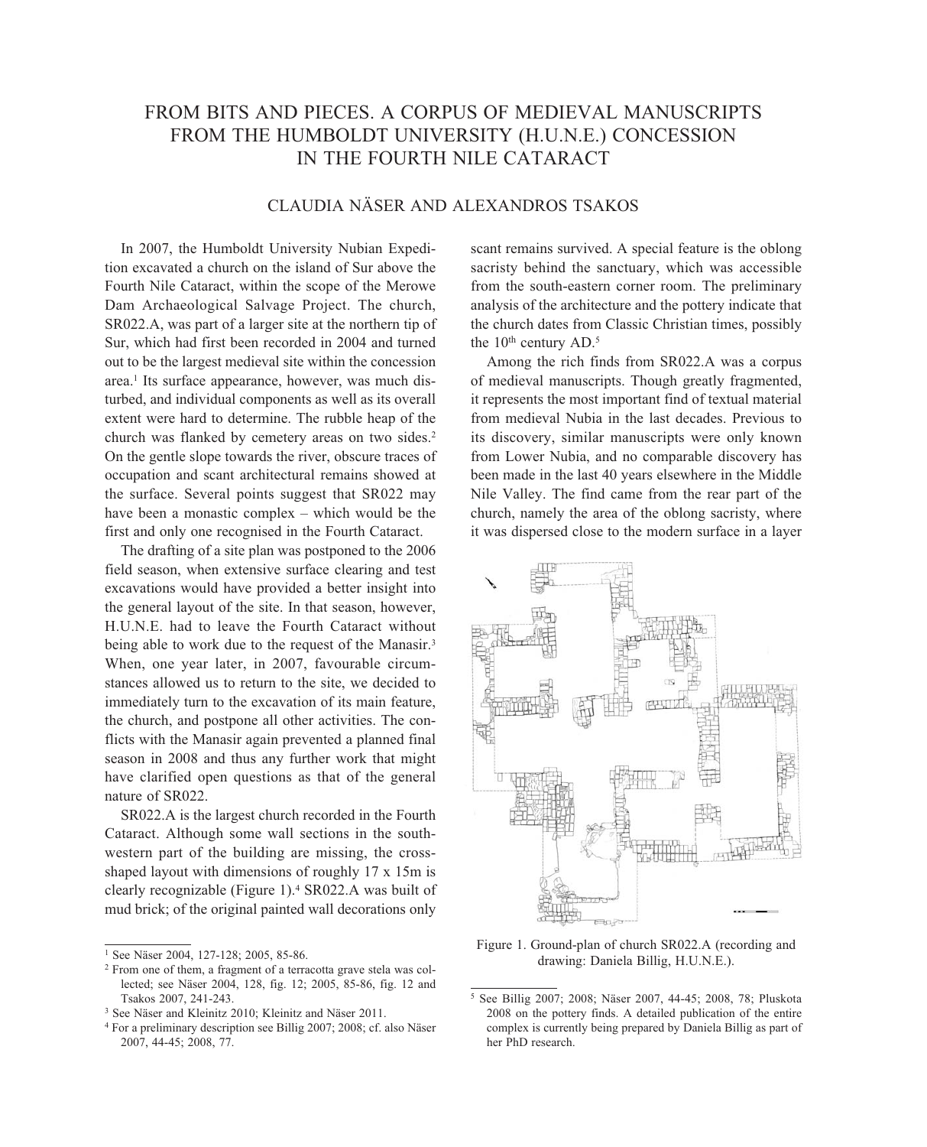## FROM BITS AND PIECES. A CORPUS OF MEDIEVAL MANUSCRIPTS FROM THE HUMBOLDT UNIVERSITY (H.U.N.E.) CONCESSION IN THE FOURTH NILE CATARACT

## CLAUDIA NÄSER AND ALEXANDROS TSAKOS

In 2007, the Humboldt University Nubian Expedition excavated a church on the island of Sur above the Fourth Nile Cataract, within the scope of the Merowe Dam Archaeological Salvage Project. The church, SR022.A, was part of a larger site at the northern tip of Sur, which had first been recorded in 2004 and turned out to be the largest medieval site within the concession area.1 Its surface appearance, however, was much disturbed, and individual components as well as its overall extent were hard to determine. The rubble heap of the church was flanked by cemetery areas on two sides.<sup>2</sup> On the gentle slope towards the river, obscure traces of occupation and scant architectural remains showed at the surface. Several points suggest that SR022 may have been a monastic complex – which would be the first and only one recognised in the Fourth Cataract.

The drafting of a site plan was postponed to the 2006 field season, when extensive surface clearing and test excavations would have provided a better insight into the general layout of the site. In that season, however, H.U.N.E. had to leave the Fourth Cataract without being able to work due to the request of the Manasir.<sup>3</sup> When, one year later, in 2007, favourable circumstances allowed us to return to the site, we decided to immediately turn to the excavation of its main feature, the church, and postpone all other activities. The conflicts with the Manasir again prevented a planned final season in 2008 and thus any further work that might have clarified open questions as that of the general nature of SR022.

SR022.A is the largest church recorded in the Fourth Cataract. Although some wall sections in the southwestern part of the building are missing, the crossshaped layout with dimensions of roughly 17 x 15m is clearly recognizable (Figure 1).4 SR022.A was built of mud brick; of the original painted wall decorations only

scant remains survived. A special feature is the oblong sacristy behind the sanctuary, which was accessible from the south -eastern corner room. The preliminary analysis of the architecture and the pottery indicate that the church dates from Classic Christian times, possibly the  $10<sup>th</sup>$  century AD.<sup>5</sup>

Among the rich finds from SR022.A was a corpus of medieval manuscripts. Though greatly fragmented, it represents the most important find of textual material from medieval Nubia in the last decades. Previous to its discovery, similar manuscripts were only known from Lower Nubia, and no comparable discovery has been made in the last 40 years elsewhere in the Middle Nile Valley. The find came from the rear part of the church, namely the area of the oblong sacristy, where it was dispersed close to the modern surface in a layer



Figure 1. Ground-plan of church SR022.A (recording and drawing: Daniela Billig, H.U.N.E.).

<sup>1</sup> See Näser 2004, 127-128; 2005, 85-86.

<sup>2</sup> From one of them, a fragment of a terracotta grave stela was collected; see Näser 2004, 128, fig. 12; 2005, 85-86, fig. 12 and Tsakos 2007, 241-243.

<sup>3</sup> See Näser and Kleinitz 2010; Kleinitz and Näser 2011.

<sup>4</sup> For a preliminary description see Billig 2007; 2008; cf. also Näser 2007, 44-45; 2008, 77.

<sup>5</sup> See Billig 2007; 2008; Näser 2007, 44-45; 2008, 78; Pluskota 2008 on the pottery finds. A detailed publication of the entire complex is currently being prepared by Daniela Billig as part of her PhD research.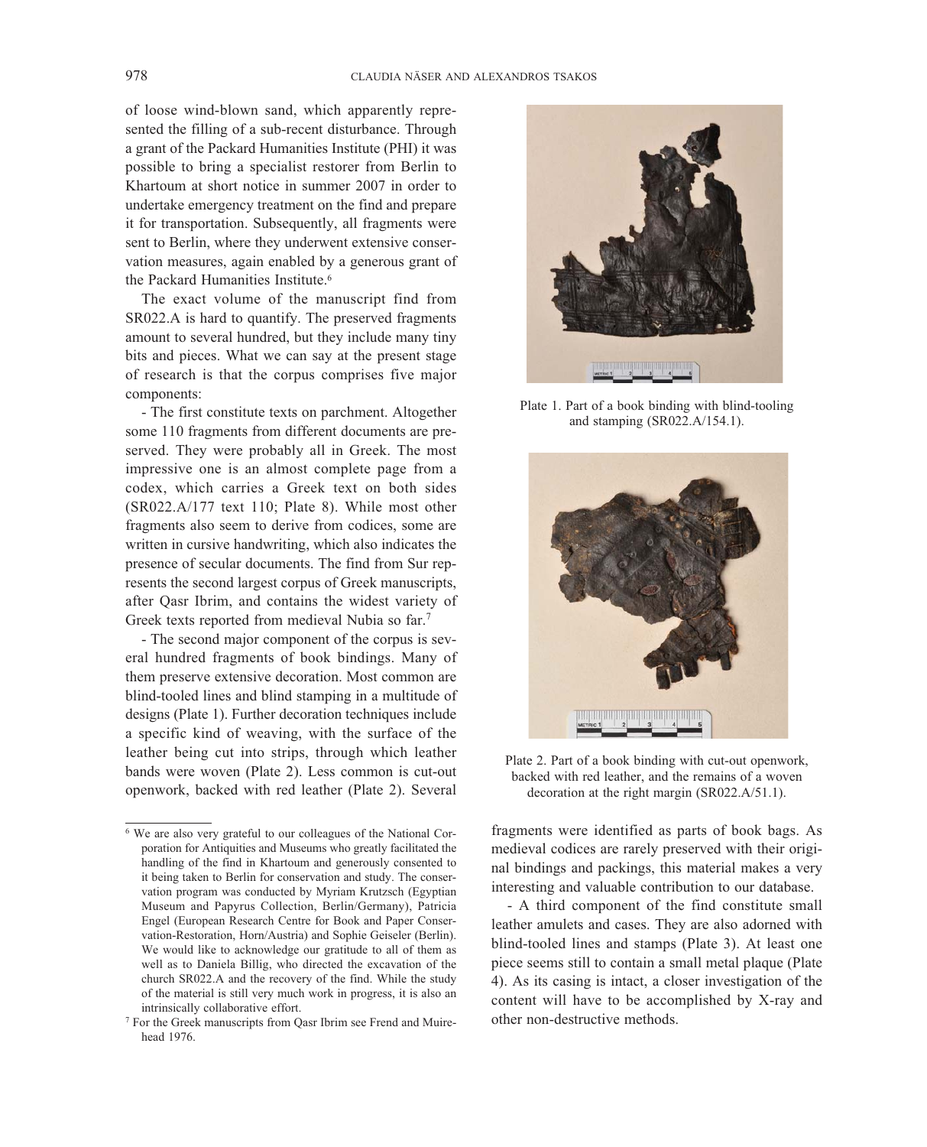of loose wind-blown sand, which apparently represented the filling of a sub-recent disturbance. Through a grant of the Packard Humanities Institute (PHI) it was possible to bring a specialist restorer from Berlin to Khartoum at short notice in summer 2007 in order to undertake emergency treatment on the find and prepare it for transportation. Subsequently, all fragments were sent to Berlin, where they underwent extensive conservation measures, again enabled by a generous grant of the Packard Humanities Institute.<sup>6</sup>

The exact volume of the manuscript find from SR022.A is hard to quantify. The preserved fragments amount to several hundred, but they include many tiny bits and pieces. What we can say at the present stage of research is that the corpus comprises five major components:

- The first constitute texts on parchment. Altogether some 110 fragments from different documents are preserved. They were probably all in Greek. The most impressive one is an almost complete page from a codex, which carries a Greek text on both sides (SR022.A/177 text 110; Plate 8). While most other fragments also seem to derive from codices, some are written in cursive handwriting, which also indicates the presence of secular documents. The find from Sur represents the second largest corpus of Greek manuscripts, after Qasr Ibrim, and contains the widest variety of Greek texts reported from medieval Nubia so far.7

- The second major component of the corpus is several hundred fragments of book bindings. Many of them preserve extensive decoration. Most common are blind-tooled lines and blind stamping in a multitude of designs (Plate 1). Further decoration techniques include a specific kind of weaving, with the surface of the leather being cut into strips, through which leather bands were woven (Plate 2). Less common is cut-out openwork, backed with red leather (Plate 2). Several



Plate 1. Part of a book binding with blind-tooling and stamping (SR022.A/154.1).



Plate 2. Part of a book binding with cut-out openwork, backed with red leather, and the remains of a woven decoration at the right margin (SR022.A/51.1).

fragments were identified as parts of book bags. As medieval codices are rarely preserved with their original bindings and packings, this material makes a very interesting and valuable contribution to our database.

- A third component of the find constitute small leather amulets and cases. They are also adorned with blind-tooled lines and stamps (Plate 3). At least one piece seems still to contain a small metal plaque (Plate 4). As its casing is intact, a closer investigation of the content will have to be accomplished by X-ray and other non-destructive methods.

<sup>6</sup> We are also very grateful to our colleagues of the National Corporation for Antiquities and Museums who greatly facilitated the handling of the find in Khartoum and generously consented to it being taken to Berlin for conservation and study. The conservation program was conducted by Myriam Krutzsch (Egyptian Museum and Papyrus Collection, Berlin/Germany), Patricia Engel (European Research Centre for Book and Paper Conservation-Restoration, Horn/Austria) and Sophie Geiseler (Berlin). We would like to acknowledge our gratitude to all of them as well as to Daniela Billig, who directed the excavation of the church SR022.A and the recovery of the find. While the study of the material is still very much work in progress, it is also an intrinsically collaborative effort.

<sup>7</sup> For the Greek manuscripts from Qasr Ibrim see Frend and Muirehead 1976.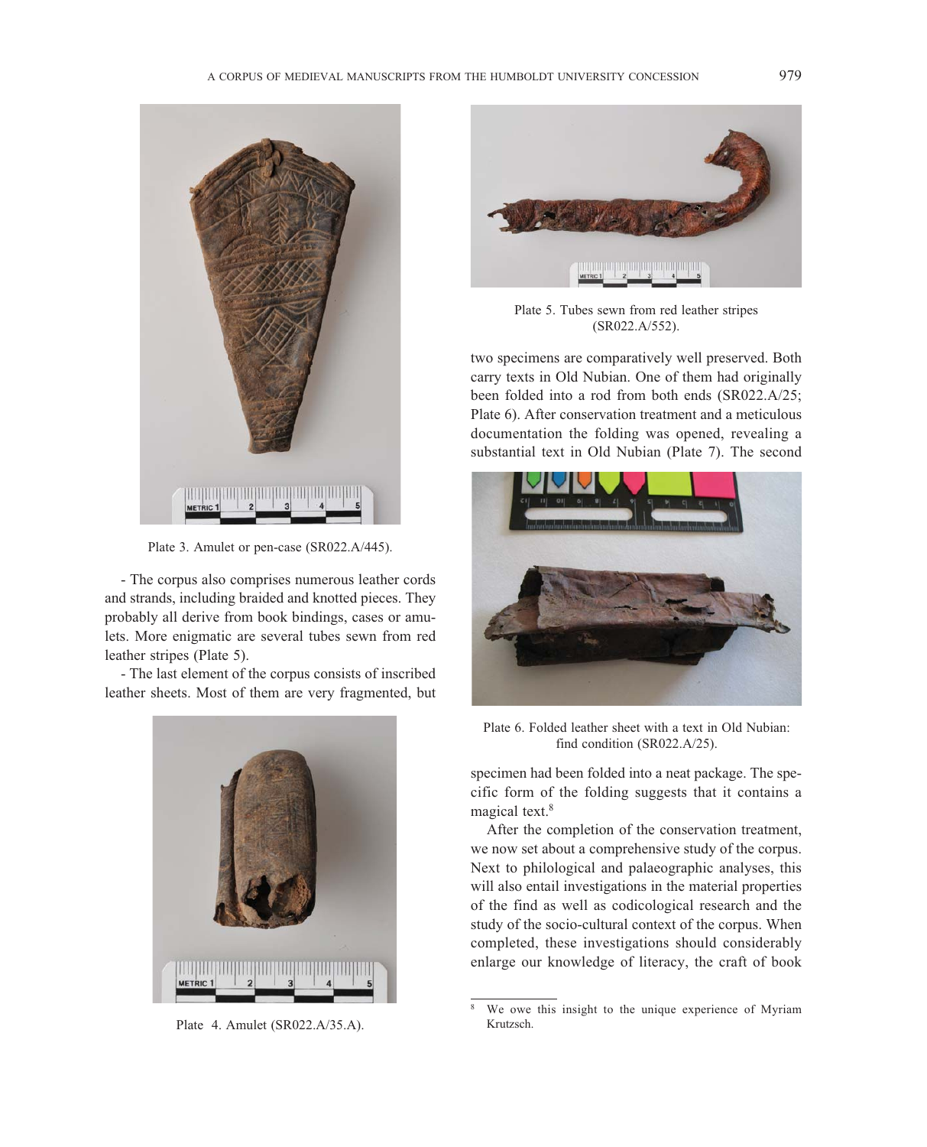

Plate 3. Amulet or pen-case (SR022.A/445).

- The corpus also comprises numerous leather cords and strands, including braided and knotted pieces. They probably all derive from book bindings, cases or amulets. More enigmatic are several tubes sewn from red leather stripes (Plate 5).

- The last element of the corpus consists of inscribed leather sheets. Most of them are very fragmented, but



Plate 4. Amulet (SR022.A/35.A).



Plate 5. Tubes sewn from red leather stripes (SR022.A/552).

two specimens are comparatively well preserved. Both carry texts in Old Nubian. One of them had originally been folded into a rod from both ends (SR022.A/25; Plate 6). After conservation treatment and a meticulous documentation the folding was opened, revealing a substantial text in Old Nubian (Plate 7). The second



Plate 6. Folded leather sheet with a text in Old Nubian: find condition (SR022.A/25).

specimen had been folded into a neat package. The specific form of the folding suggests that it contains a magical text.<sup>8</sup>

After the completion of the conservation treatment, we now set about a comprehensive study of the corpus. Next to philological and palaeographic analyses, this will also entail investigations in the material properties of the find as well as codicological research and the study of the socio-cultural context of the corpus. When completed, these investigations should considerably enlarge our knowledge of literacy, the craft of book

<sup>8</sup> We owe this insight to the unique experience of Myriam Krutzsch.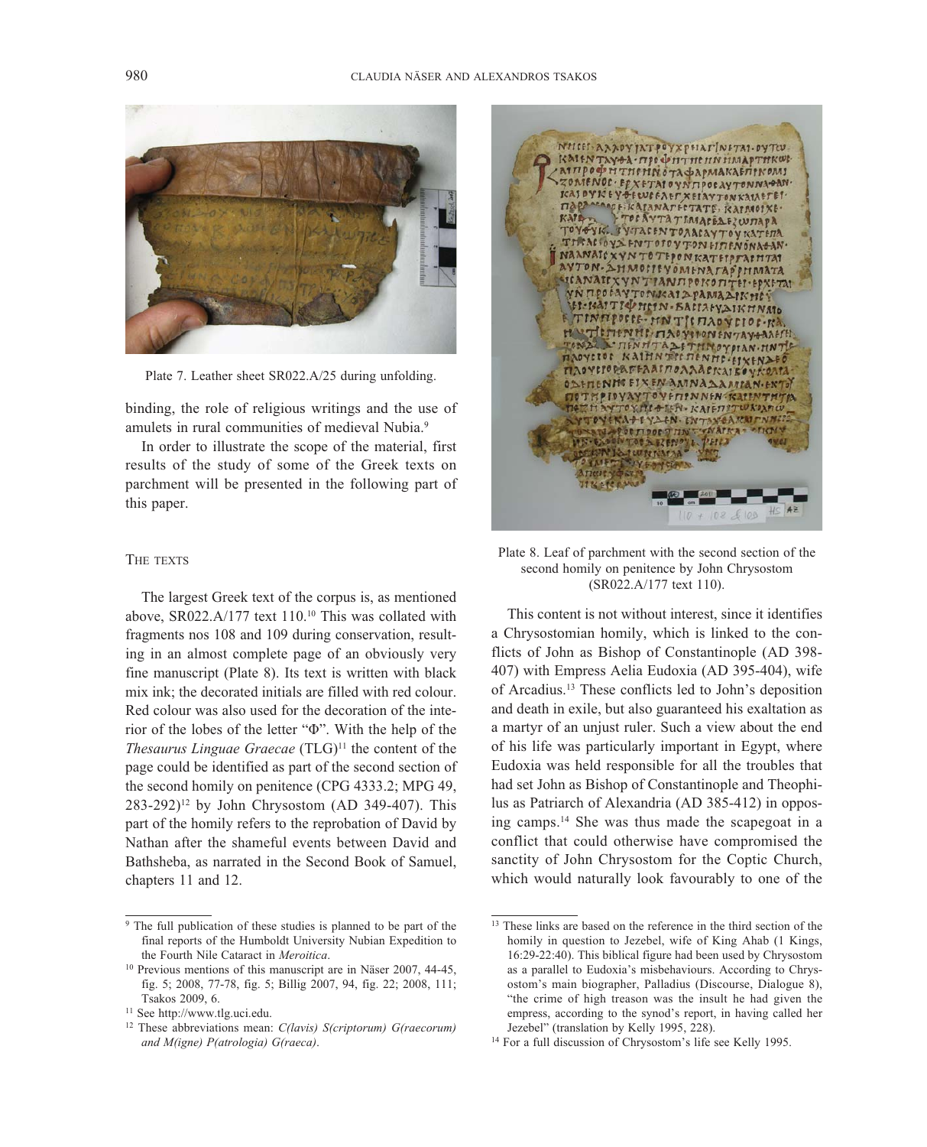

Plate 7. Leather sheet SR022.A/25 during unfolding.

binding, the role of religious writings and the use of amulets in rural communities of medieval Nubia.<sup>9</sup>

In order to illustrate the scope of the material, first results of the study of some of the Greek texts on parchment will be presented in the following part of this paper.

#### THE TEXTS

The largest Greek text of the corpus is, as mentioned above, SR022.A/177 text 110.10 This was collated with fragments nos 108 and 109 during conservation, resulting in an almost complete page of an obviously very fine manuscript (Plate 8). Its text is written with black mix ink; the decorated initials are filled with red colour. Red colour was also used for the decoration of the interior of the lobes of the letter "Φ". With the help of the *Thesaurus Linguae Graecae* (TLG)<sup>11</sup> the content of the page could be identified as part of the second section of the second homily on penitence (CPG 4333.2; MPG 49,  $283-292$ <sup>12</sup> by John Chrysostom (AD 349-407). This part of the homily refers to the reprobation of David by Nathan after the shameful events between David and Bathsheba, as narrated in the Second Book of Samuel, chapters 11 and 12.



Plate 8. Leaf of parchment with the second section of the second homily on penitence by John Chrysostom (SR022.A/177 text 110).

This content is not without interest, since it identifies a Chrysostomian homily, which is linked to the conflicts of John as Bishop of Constantinople (AD 398- 407) with Empress Aelia Eudoxia (AD 395-404), wife of Arcadius.13 These conflicts led to John's deposition and death in exile, but also guaranteed his exaltation as a martyr of an unjust ruler. Such a view about the end of his life was particularly important in Egypt, where Eudoxia was held responsible for all the troubles that had set John as Bishop of Constantinople and Theophilus as Patriarch of Alexandria (AD 385-412) in opposing camps.14 She was thus made the scapegoat in a conflict that could otherwise have compromised the sanctity of John Chrysostom for the Coptic Church, which would naturally look favourably to one of the

<sup>9</sup> The full publication of these studies is planned to be part of the final reports of the Humboldt University Nubian Expedition to the Fourth Nile Cataract in *Meroitica*.

<sup>&</sup>lt;sup>10</sup> Previous mentions of this manuscript are in Näser 2007, 44-45, fig. 5; 2008, 77-78, fig. 5; Billig 2007, 94, fig. 22; 2008, 111; Tsakos 2009, 6.

<sup>11</sup> See http://www.tlg.uci.edu.

<sup>12</sup> These abbreviations mean: *C(lavis) S(criptorum) G(raecorum) and M(igne) P(atrologia) G(raeca)*.

<sup>&</sup>lt;sup>13</sup> These links are based on the reference in the third section of the homily in question to Jezebel, wife of King Ahab (1 Kings, 16:29-22:40). This biblical figure had been used by Chrysostom as a parallel to Eudoxia's misbehaviours. According to Chrysostom's main biographer, Palladius (Discourse, Dialogue 8), "the crime of high treason was the insult he had given the empress, according to the synod's report, in having called her Jezebel" (translation by Kelly 1995, 228).

<sup>&</sup>lt;sup>14</sup> For a full discussion of Chrysostom's life see Kelly 1995.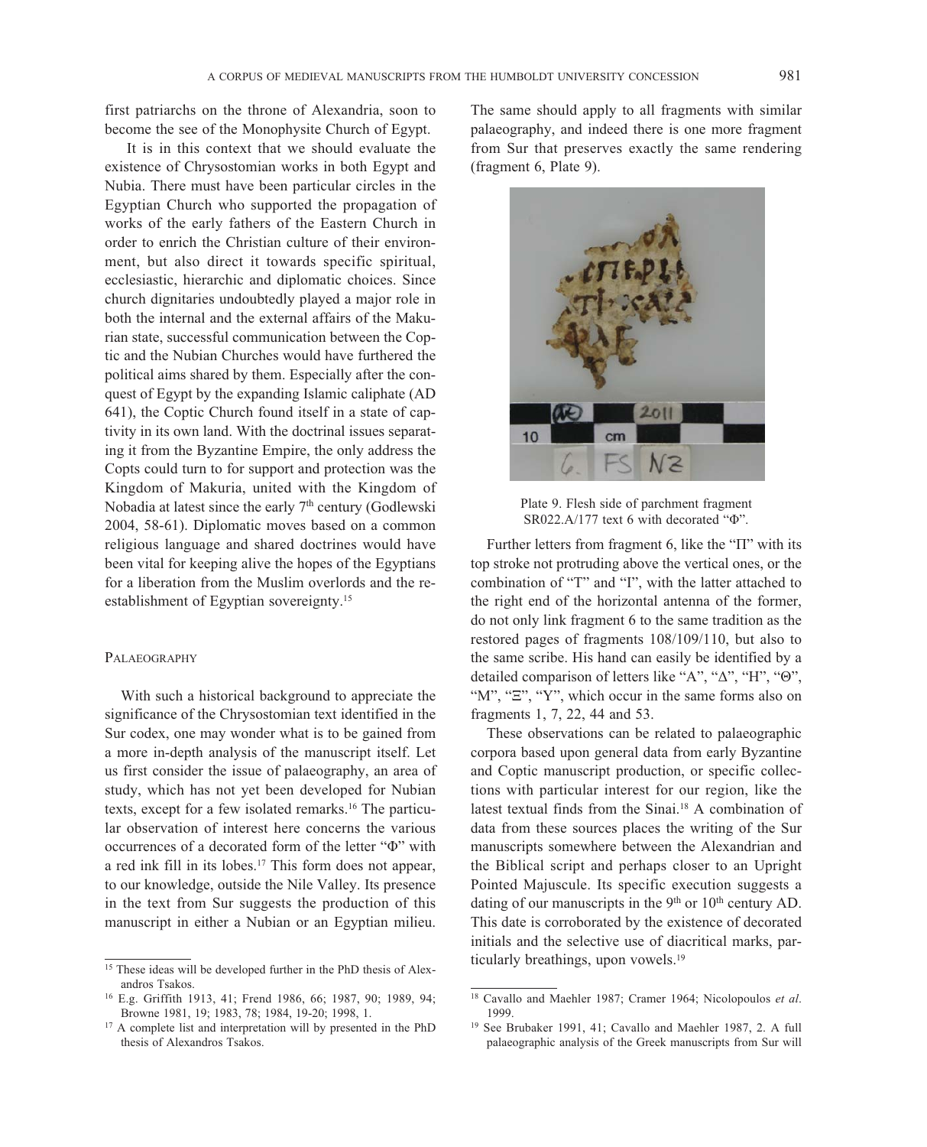first patriarchs on the throne of Alexandria, soon to become the see of the Monophysite Church of Egypt.

It is in this context that we should evaluate the existence of Chrysostomian works in both Egypt and Nubia. There must have been particular circles in the Egyptian Church who supported the propagation of works of the early fathers of the Eastern Church in order to enrich the Christian culture of their environment, but also direct it towards specific spiritual, ecclesiastic, hierarchic and diplomatic choices. Since church dignitaries undoubtedly played a major role in both the internal and the external affairs of the Makurian state, successful communication between the Coptic and the Nubian Churches would have furthered the political aims shared by them. Especially after the conquest of Egypt by the expanding Islamic caliphate (AD 641), the Coptic Church found itself in a state of captivity in its own land. With the doctrinal issues separating it from the Byzantine Empire, the only address the Copts could turn to for support and protection was the Kingdom of Makuria, united with the Kingdom of Nobadia at latest since the early 7<sup>th</sup> century (Godlewski 2004, 58-61). Diplomatic moves based on a common religious language and shared doctrines would have been vital for keeping alive the hopes of the Egyptians for a liberation from the Muslim overlords and the reestablishment of Egyptian sovereignty.15

#### PALAEOGRAPHY

With such a historical background to appreciate the significance of the Chrysostomian text identified in the Sur codex, one may wonder what is to be gained from a more in-depth analysis of the manuscript itself. Let us first consider the issue of palaeography, an area of study, which has not yet been developed for Nubian texts, except for a few isolated remarks.16 The particular observation of interest here concerns the various occurrences of a decorated form of the letter "Φ" with a red ink fill in its lobes.17 This form does not appear, to our knowledge, outside the Nile Valley. Its presence in the text from Sur suggests the production of this manuscript in either a Nubian or an Egyptian milieu. The same should apply to all fragments with similar palaeography, and indeed there is one more fragment from Sur that preserves exactly the same rendering (fragment 6, Plate 9).



Plate 9. Flesh side of parchment fragment SR022.A/177 text 6 with decorated "Φ".

Further letters from fragment 6, like the "Π" with its top stroke not protruding above the vertical ones, or the combination of "T" and "I", with the latter attached to the right end of the horizontal antenna of the former, do not only link fragment 6 to the same tradition as the restored pages of fragments 108/109/110, but also to the same scribe. His hand can easily be identified by a detailed comparison of letters like "A", "Δ", "H", "Θ", "M", "Ξ", "Y", which occur in the same forms also on fragments 1, 7, 22, 44 and 53.

These observations can be related to palaeographic corpora based upon general data from early Byzantine and Coptic manuscript production, or specific collections with particular interest for our region, like the latest textual finds from the Sinai.18 A combination of data from these sources places the writing of the Sur manuscripts somewhere between the Alexandrian and the Biblical script and perhaps closer to an Upright Pointed Majuscule. Its specific execution suggests a dating of our manuscripts in the  $9<sup>th</sup>$  or  $10<sup>th</sup>$  century AD. This date is corroborated by the existence of decorated initials and the selective use of diacritical marks, particularly breathings, upon vowels.<sup>19</sup>

<sup>&</sup>lt;sup>15</sup> These ideas will be developed further in the PhD thesis of Alexandros Tsakos.

<sup>16</sup> E.g. Griffith 1913, 41; Frend 1986, 66; 1987, 90; 1989, 94; Browne 1981, 19; 1983, 78; 1984, 19-20; 1998, 1.

<sup>&</sup>lt;sup>17</sup> A complete list and interpretation will by presented in the PhD thesis of Alexandros Tsakos.

<sup>18</sup> Cavallo and Maehler 1987; Cramer 1964; Nicolopoulos *et al*. 1999.

<sup>19</sup> See Brubaker 1991, 41; Cavallo and Maehler 1987, 2. A full palaeographic analysis of the Greek manuscripts from Sur will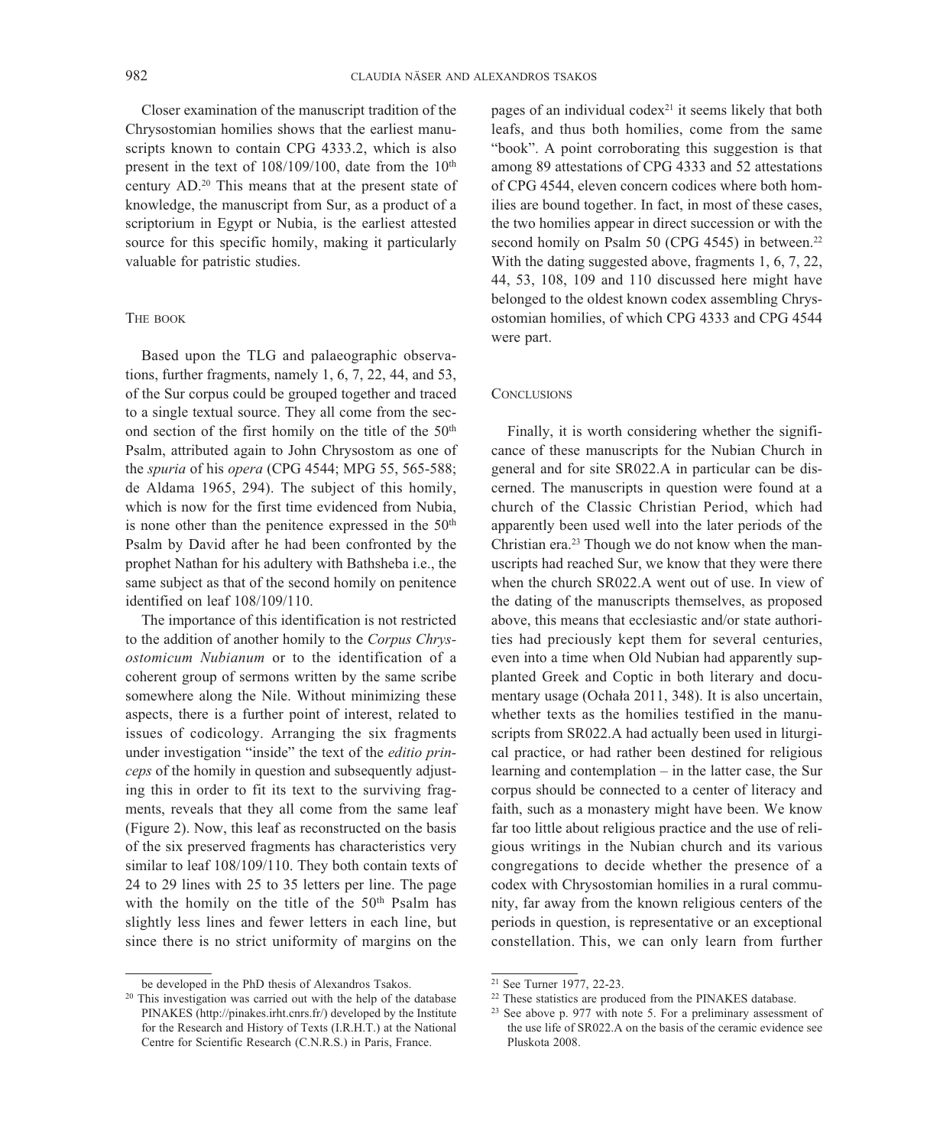Closer examination of the manuscript tradition of the Chrysostomian homilies shows that the earliest manuscripts known to contain CPG 4333.2, which is also present in the text of  $108/109/100$ , date from the  $10<sup>th</sup>$ century AD.20 This means that at the present state of knowledge, the manuscript from Sur, as a product of a scriptorium in Egypt or Nubia, is the earliest attested source for this specific homily, making it particularly valuable for patristic studies.

#### THE BOOK

Based upon the TLG and palaeographic observations, further fragments, namely 1, 6, 7, 22, 44, and 53, of the Sur corpus could be grouped together and traced to a single textual source. They all come from the second section of the first homily on the title of the  $50<sup>th</sup>$ Psalm, attributed again to John Chrysostom as one of the *spuria* of his *opera* (CPG 4544; MPG 55, 565-588; de Aldama 1965, 294). The subject of this homily, which is now for the first time evidenced from Nubia, is none other than the penitence expressed in the  $50<sup>th</sup>$ Psalm by David after he had been confronted by the prophet Nathan for his adultery with Bathsheba i.e., the same subject as that of the second homily on penitence identified on leaf 108/109/110.

The importance of this identification is not restricted to the addition of another homily to the *Corpus Chrysostomicum Nubianum* or to the identification of a coherent group of sermons written by the same scribe somewhere along the Nile. Without minimizing these aspects, there is a further point of interest, related to issues of codicology. Arranging the six fragments under investigation "inside" the text of the *editio princeps* of the homily in question and subsequently adjusting this in order to fit its text to the surviving fragments, reveals that they all come from the same leaf (Figure 2). Now, this leaf as reconstructed on the basis of the six preserved fragments has characteristics very similar to leaf 108/109/110. They both contain texts of 24 to 29 lines with 25 to 35 letters per line. The page with the homily on the title of the  $50<sup>th</sup>$  Psalm has slightly less lines and fewer letters in each line, but since there is no strict uniformity of margins on the

pages of an individual codex $21$  it seems likely that both leafs, and thus both homilies, come from the same "book". A point corroborating this suggestion is that among 89 attestations of CPG 4333 and 52 attestations of CPG 4544, eleven concern codices where both homilies are bound together. In fact, in most of these cases, the two homilies appear in direct succession or with the second homily on Psalm 50 (CPG 4545) in between.<sup>22</sup> With the dating suggested above, fragments 1, 6, 7, 22, 44, 53, 108, 109 and 110 discussed here might have belonged to the oldest known codex assembling Chrysostomian homilies, of which CPG 4333 and CPG 4544 were part.

#### **CONCLUSIONS**

Finally, it is worth considering whether the significance of these manuscripts for the Nubian Church in general and for site SR022.A in particular can be discerned. The manuscripts in question were found at a church of the Classic Christian Period, which had apparently been used well into the later periods of the Christian era.23 Though we do not know when the manuscripts had reached Sur, we know that they were there when the church SR022.A went out of use. In view of the dating of the manuscripts themselves, as proposed above, this means that ecclesiastic and/or state authorities had preciously kept them for several centuries, even into a time when Old Nubian had apparently supplanted Greek and Coptic in both literary and documentary usage (Ochała 2011, 348). It is also uncertain, whether texts as the homilies testified in the manuscripts from SR022.A had actually been used in liturgical practice, or had rather been destined for religious learning and contemplation – in the latter case, the Sur corpus should be connected to a center of literacy and faith, such as a monastery might have been. We know far too little about religious practice and the use of religious writings in the Nubian church and its various congregations to decide whether the presence of a codex with Chrysostomian homilies in a rural community, far away from the known religious centers of the periods in question, is representative or an exceptional constellation. This, we can only learn from further

be developed in the PhD thesis of Alexandros Tsakos.<br><sup>20</sup> This investigation was carried out with the help of the database PINAKES (http://pinakes.irht.cnrs.fr/) developed by the Institute for the Research and History of Texts (I.R.H.T.) at the National Centre for Scientific Research (C.N.R.S.) in Paris, France.

<sup>21</sup> See Turner 1977, 22-23.

<sup>&</sup>lt;sup>22</sup> These statistics are produced from the PINAKES database.

<sup>23</sup> See above p. 977 with note 5. For a preliminary assessment of the use life of SR022.A on the basis of the ceramic evidence see Pluskota 2008.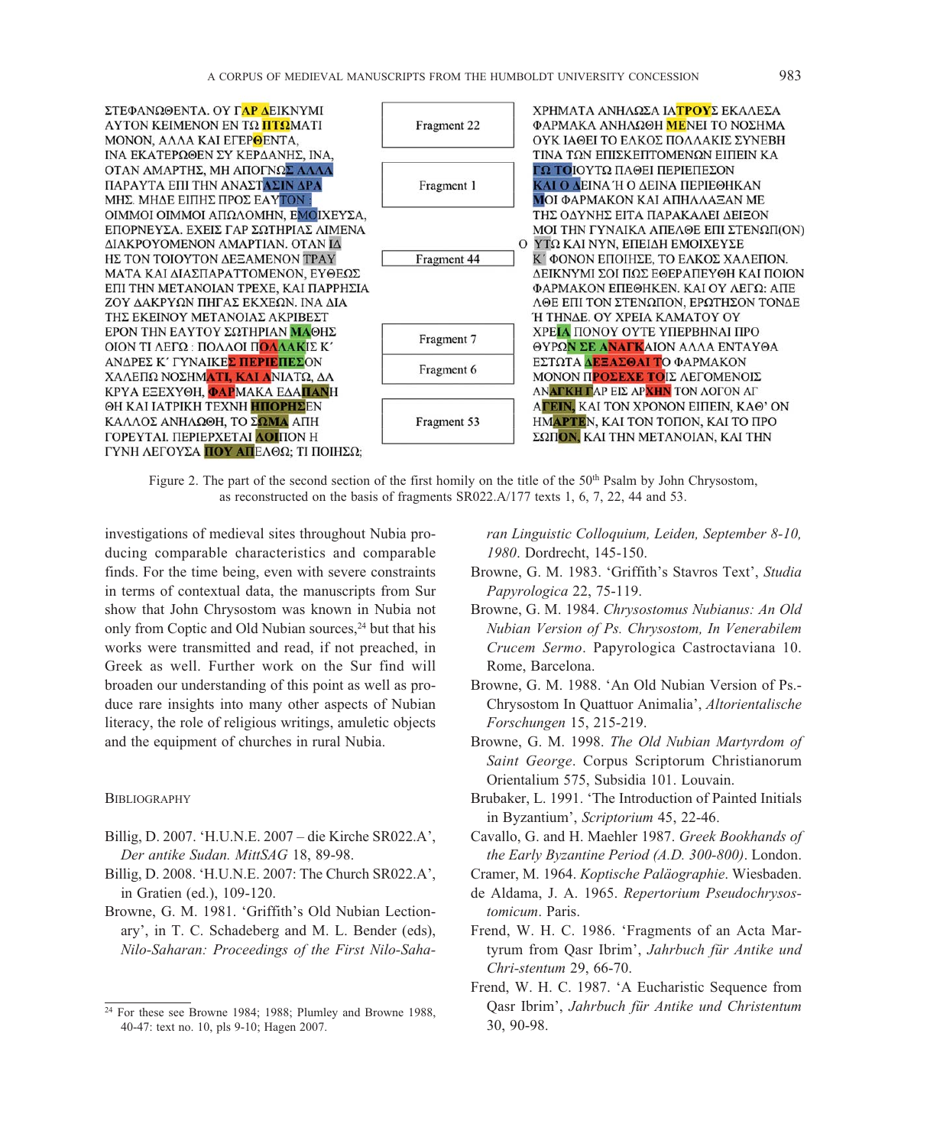

Figure 2. The part of the second section of the first homily on the title of the 50<sup>th</sup> Psalm by John Chrysostom, as reconstructed on the basis of fragments SR022.A/177 texts 1, 6, 7, 22, 44 and 53.

investigations of medieval sites throughout Nubia producing comparable characteristics and comparable finds. For the time being, even with severe constraints in terms of contextual data, the manuscripts from Sur show that John Chrysostom was known in Nubia not only from Coptic and Old Nubian sources,<sup>24</sup> but that his works were transmitted and read, if not preached, in Greek as well. Further work on the Sur find will broaden our understanding of this point as well as produce rare insights into many other aspects of Nubian literacy, the role of religious writings, amuletic objects and the equipment of churches in rural Nubia.

#### **BIBLIOGRAPHY**

- Billig, D. 2007. 'H.U.N.E. 2007 die Kirche SR022.A', *Der antike Sudan. MittSAG* 18, 89-98.
- Billig, D. 2008. 'H.U.N.E. 2007: The Church SR022.A', in Gratien (ed.), 109-120.
- Browne, G. M. 1981. 'Griffith's Old Nubian Lectionary', in T. C. Schadeberg and M. L. Bender (eds), *Nilo-Saharan: Proceedings of the First Nilo-Saha-*

*ran Linguistic Colloquium, Leiden, September 8-10, 1980*. Dordrecht, 145-150.

- Browne, G. M. 1983. 'Griffith's Stavros Text', *Studia Papyrologica* 22, 75-119.
- Browne, G. M. 1984. Chrysostomus Nubianus: An Old *-ubian Version of Ps. Chrysostom, In Venerabilem Crucem Sermo*. Papyrologica Castroctaviana 10. Rome, Barcelona.
- Browne, G. M. 1988. 'An Old Nubian Version of Ps.- Chrysostom In Quattuor Animalia', *Altorientalische Forschungen* 15, 215-219.
- Browne, G. M. 1998. The Old Nubian Martyrdom of *Saint George*. Corpus Scriptorum Christian orum Orientalium 575, Subsidia 101. Louvain.
- Brubaker, L. 1991. 'The Introduction of Painted Initials in Byzantium', *Scriptorium* 45, 22-46.
- Cavallo, G. and H. Maehler 1987. *Greek Bookhands of the Early Byzantine Period (A.D. 300-800)*. London.
- Cramer, M. 1964. *Koptische Paläographie*. Wiesbaden.
- de Aldama, J. A. 1965. *Repertorium Pseudochrysostomicum*. Paris.
- Frend, W. H. C. 1986. 'Fragments of an Acta Martyrum from Qasr Ibrim', *Jahrbuch für Antike und Chri-stentum* 29, 66-70.
- Frend, W. H. C. 1987. 'A Eucharistic Sequence from Qasr Ibrim', *Jahrbuch für Antike und Christentum* 30, 90-98.

<sup>24</sup> For these see Browne 1984; 1988; Plumley and Browne 1988, 40-47: text no. 10, pls 9-10; Hagen 2007.